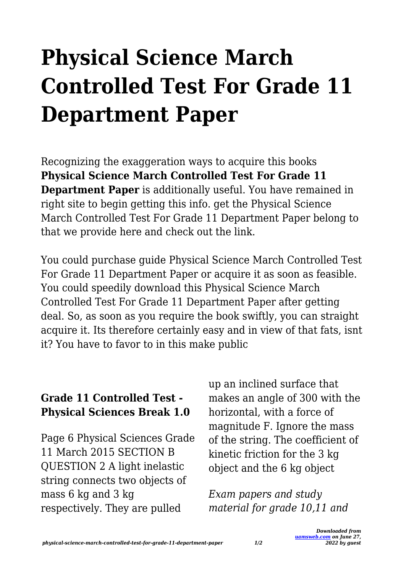## **Physical Science March Controlled Test For Grade 11 Department Paper**

Recognizing the exaggeration ways to acquire this books **Physical Science March Controlled Test For Grade 11 Department Paper** is additionally useful. You have remained in right site to begin getting this info. get the Physical Science March Controlled Test For Grade 11 Department Paper belong to that we provide here and check out the link.

You could purchase guide Physical Science March Controlled Test For Grade 11 Department Paper or acquire it as soon as feasible. You could speedily download this Physical Science March Controlled Test For Grade 11 Department Paper after getting deal. So, as soon as you require the book swiftly, you can straight acquire it. Its therefore certainly easy and in view of that fats, isnt it? You have to favor to in this make public

## **Grade 11 Controlled Test - Physical Sciences Break 1.0**

Page 6 Physical Sciences Grade 11 March 2015 SECTION B QUESTION 2 A light inelastic string connects two objects of mass 6 kg and 3 kg respectively. They are pulled

up an inclined surface that makes an angle of 300 with the horizontal, with a force of magnitude F. Ignore the mass of the string. The coefficient of kinetic friction for the 3 kg object and the 6 kg object

*Exam papers and study material for grade 10,11 and*